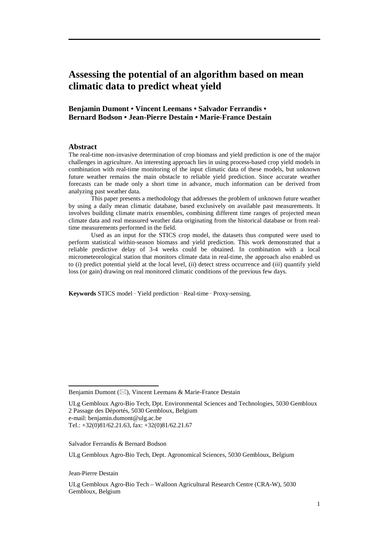# **Assessing the potential of an algorithm based on mean climatic data to predict wheat yield**

# **Benjamin Dumont • Vincent Leemans • Salvador Ferrandis • Bernard Bodson • Jean-Pierre Destain • Marie-France Destain**

#### **Abstract**

The real-time non-invasive determination of crop biomass and yield prediction is one of the major challenges in agriculture. An interesting approach lies in using process-based crop yield models in combination with real-time monitoring of the input climatic data of these models, but unknown future weather remains the main obstacle to reliable yield prediction. Since accurate weather forecasts can be made only a short time in advance, much information can be derived from analyzing past weather data.

 This paper presents a methodology that addresses the problem of unknown future weather by using a daily mean climatic database, based exclusively on available past measurements. It involves building climate matrix ensembles, combining different time ranges of projected mean climate data and real measured weather data originating from the historical database or from realtime measurements performed in the field.

 Used as an input for the STICS crop model, the datasets thus computed were used to perform statistical within-season biomass and yield prediction. This work demonstrated that a reliable predictive delay of 3-4 weeks could be obtained. In combination with a local micrometeorological station that monitors climate data in real-time, the approach also enabled us to (*i*) predict potential yield at the local level, (*ii*) detect stress occurrence and (*iii*) quantify yield loss (or gain) drawing on real monitored climatic conditions of the previous few days.

**Keywords** STICS model · Yield prediction · Real-time · Proxy-sensing.

ULg Gembloux Agro-Bio Tech, Dpt. Environmental Sciences and Technologies, 5030 Gembloux 2 Passage des Déportés, 5030 Gembloux, Belgium e-mail: benjamin.dumont@ulg.ac.be Tel.: +32(0)81/62.21.63, fax: +32(0)81/62.21.67

Salvador Ferrandis & Bernard Bodson

ULg Gembloux Agro-Bio Tech, Dept. Agronomical Sciences, 5030 Gembloux, Belgium

Jean-Pierre Destain

ULg Gembloux Agro-Bio Tech – Walloon Agricultural Research Centre (CRA-W), 5030 Gembloux, Belgium

Benjamin Dumont ( $\boxtimes$ ), Vincent Leemans & Marie-France Destain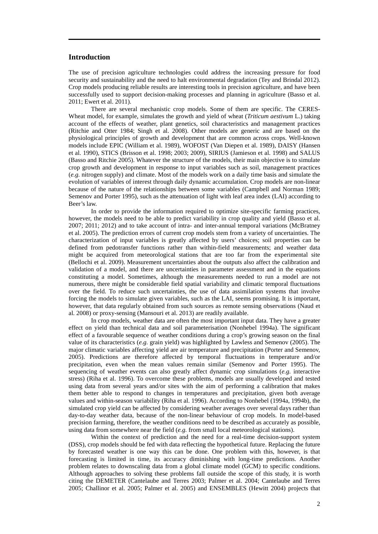## **Introduction**

The use of precision agriculture technologies could address the increasing pressure for food security and sustainability and the need to halt environmental degradation (Tey and Brindal 2012). Crop models producing reliable results are interesting tools in precision agriculture, and have been successfully used to support decision-making processes and planning in agriculture (Basso et al. 2011; Ewert et al. 2011).

There are several mechanistic crop models. Some of them are specific. The CERES-Wheat model, for example, simulates the growth and yield of wheat (*Triticum aestivum* L.) taking account of the effects of weather, plant genetics, soil characteristics and management practices (Ritchie and Otter 1984; Singh et al. 2008). Other models are generic and are based on the physiological principles of growth and development that are common across crops. Well-known models include EPIC (William et al. 1989), WOFOST (Van Diepen et al. 1989), DAISY (Hansen et al. 1990), STICS (Brisson et al. 1998; 2003; 2009), SIRIUS (Jamieson et al. 1998) and SALUS (Basso and Ritchie 2005). Whatever the structure of the models, their main objective is to simulate crop growth and development in response to input variables such as soil, management practices (*e.g.* nitrogen supply) and climate. Most of the models work on a daily time basis and simulate the evolution of variables of interest through daily dynamic accumulation. Crop models are non-linear because of the nature of the relationships between some variables (Campbell and Norman 1989; Semenov and Porter 1995), such as the attenuation of light with leaf area index (LAI) according to Beer's law.

In order to provide the information required to optimize site-specific farming practices, however, the models need to be able to predict variability in crop quality and yield (Basso et al. 2007; 2011; 2012) and to take account of intra- and inter-annual temporal variations (McBratney et al. 2005). The prediction errors of current crop models stem from a variety of uncertainties. The characterization of input variables is greatly affected by users' choices; soil properties can be defined from pedotransfer functions rather than within-field measurements; and weather data might be acquired from meteorological stations that are too far from the experimental site (Bellochi et al. 2009). Measurement uncertainties about the outputs also affect the calibration and validation of a model, and there are uncertainties in parameter assessment and in the equations constituting a model. Sometimes, although the measurements needed to run a model are not numerous, there might be considerable field spatial variability and climatic temporal fluctuations over the field. To reduce such uncertainties, the use of data assimilation systems that involve forcing the models to simulate given variables, such as the LAI, seems promising. It is important, however, that data regularly obtained from such sources as remote sensing observations (Naud et al. 2008) or proxy-sensing (Mansouri et al. 2013) are readily available.

In crop models, weather data are often the most important input data. They have a greater effect on yield than technical data and soil parameterisation (Nonhebel 1994a). The significant effect of a favourable sequence of weather conditions during a crop's growing season on the final value of its characteristics (*e.g.* grain yield) was highlighted by Lawless and Semenov (2005). The major climatic variables affecting yield are air temperature and precipitation (Porter and Semenov, 2005). Predictions are therefore affected by temporal fluctuations in temperature and/or precipitation, even when the mean values remain similar (Semenov and Porter 1995). The sequencing of weather events can also greatly affect dynamic crop simulations (*e.g.* interactive stress) (Riha et al. 1996). To overcome these problems, models are usually developed and tested using data from several years and/or sites with the aim of performing a calibration that makes them better able to respond to changes in temperatures and precipitation, given both average values and within-season variability (Riha et al. 1996). According to Nonhebel (1994a, 1994b), the simulated crop yield can be affected by considering weather averages over several days rather than day-to-day weather data, because of the non-linear behaviour of crop models. In model-based precision farming, therefore, the weather conditions need to be described as accurately as possible, using data from somewhere near the field (*e.g.* from small local meteorological stations).

 Within the context of prediction and the need for a real-time decision-support system (DSS), crop models should be fed with data reflecting the hypothetical future. Replacing the future by forecasted weather is one way this can be done. One problem with this, however, is that forecasting is limited in time, its accuracy diminishing with long-time predictions. Another problem relates to downscaling data from a global climate model (GCM) to specific conditions. Although approaches to solving these problems fall outside the scope of this study, it is worth citing the DEMETER (Cantelaube and Terres 2003; Palmer et al. 2004; Cantelaube and Terres 2005; Challinor et al. 2005; Palmer et al. 2005) and ENSEMBLES (Hewitt 2004) projects that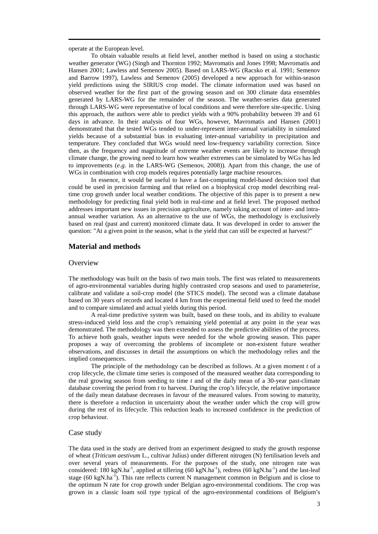operate at the European level.

 To obtain valuable results at field level, another method is based on using a stochastic weather generator (WG) (Singh and Thornton 1992; Mavromatis and Jones 1998; Mavromatis and Hansen 2001; Lawless and Semenov 2005). Based on LARS-WG (Racsko et al. 1991; Semenov and Barrow 1997), Lawless and Semenov (2005) developed a new approach for within-season yield predictions using the SIRIUS crop model. The climate information used was based on observed weather for the first part of the growing season and on 300 climate data ensembles generated by LARS-WG for the remainder of the season. The weather-series data generated through LARS-WG were representative of local conditions and were therefore site-specific. Using this approach, the authors were able to predict yields with a 90% probability between 39 and 61 days in advance. In their analysis of four WGs, however, Mavromatis and Hansen (2001) demonstrated that the tested WGs tended to under-represent inter-annual variability in simulated yields because of a substantial bias in evaluating inter-annual variability in precipitation and temperature. They concluded that WGs would need low-frequency variability correction. Since then, as the frequency and magnitude of extreme weather events are likely to increase through climate change, the growing need to learn how weather extremes can be simulated by WGs has led to improvements (*e.g.* in the LARS-WG (Semenov, 2008)). Apart from this change, the use of WGs in combination with crop models requires potentially large machine resources.

 In essence, it would be useful to have a fast-computing model-based decision tool that could be used in precision farming and that relied on a biophysical crop model describing realtime crop growth under local weather conditions. The objective of this paper is to present a new methodology for predicting final yield both in real-time and at field level. The proposed method addresses important new issues in precision agriculture, namely taking account of inter- and intraannual weather variation. As an alternative to the use of WGs, the methodology is exclusively based on real (past and current) monitored climate data. It was developed in order to answer the question: "At a given point in the season, what is the yield that can still be expected at harvest?"

## **Material and methods**

#### **Overview**

The methodology was built on the basis of two main tools. The first was related to measurements of agro-environmental variables during highly contrasted crop seasons and used to parameterise, calibrate and validate a soil-crop model (the STICS model). The second was a climate database based on 30 years of records and located 4 km from the experimental field used to feed the model and to compare simulated and actual yields during this period.

 A real-time predictive system was built, based on these tools, and its ability to evaluate stress-induced yield loss and the crop's remaining yield potential at any point in the year was demonstrated. The methodology was then extended to assess the predictive abilities of the process. To achieve both goals, weather inputs were needed for the whole growing season. This paper proposes a way of overcoming the problems of incomplete or non-existent future weather observations, and discusses in detail the assumptions on which the methodology relies and the implied consequences.

 The principle of the methodology can be described as follows. At a given moment *t* of a crop lifecycle, the climate time series is composed of the measured weather data corresponding to the real growing season from seeding to time *t* and of the daily mean of a 30-year past-climate database covering the period from *t* to harvest. During the crop's lifecycle, the relative importance of the daily mean database decreases in favour of the measured values. From sowing to maturity, there is therefore a reduction in uncertainty about the weather under which the crop will grow during the rest of its lifecycle. This reduction leads to increased confidence in the prediction of crop behaviour.

## Case study

The data used in the study are derived from an experiment designed to study the growth response of wheat (*Triticum aestivum* L., cultivar Julius) under different nitrogen (N) fertilisation levels and over several years of measurements. For the purposes of the study, one nitrogen rate was considered: 180 kgN.ha<sup>-1</sup>, applied at tillering  $(60 \text{ kgN.ha}^{-1})$ , redress  $(60 \text{ kgN.ha}^{-1})$  and the last-leaf stage  $(60 \text{ kgN}.ha^{-1})$ . This rate reflects current N management common in Belgium and is close to the optimum N rate for crop growth under Belgian agro-environmental conditions. The crop was grown in a classic loam soil type typical of the agro-environmental conditions of Belgium's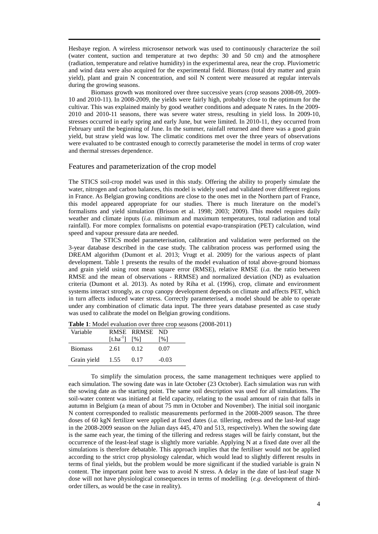Hesbaye region. A wireless microsensor network was used to continuously characterize the soil (water content, suction and temperature at two depths: 30 and 50 cm) and the atmosphere (radiation, temperature and relative humidity) in the experimental area, near the crop. Pluviometric and wind data were also acquired for the experimental field. Biomass (total dry matter and grain yield), plant and grain N concentration, and soil N content were measured at regular intervals during the growing seasons.

 Biomass growth was monitored over three successive years (crop seasons 2008-09, 2009- 10 and 2010-11). In 2008-2009, the yields were fairly high, probably close to the optimum for the cultivar. This was explained mainly by good weather conditions and adequate N rates. In the 2009- 2010 and 2010-11 seasons, there was severe water stress, resulting in yield loss. In 2009-10, stresses occurred in early spring and early June, but were limited. In 2010-11, they occurred from February until the beginning of June. In the summer, rainfall returned and there was a good grain yield, but straw yield was low. The climatic conditions met over the three years of observations were evaluated to be contrasted enough to correctly parameterise the model in terms of crop water and thermal stresses dependence.

## Features and parameterization of the crop model

The STICS soil-crop model was used in this study. Offering the ability to properly simulate the water, nitrogen and carbon balances, this model is widely used and validated over different regions in France. As Belgian growing conditions are close to the ones met in the Northern part of France, this model appeared appropriate for our studies. There is much literature on the model's formalisms and yield simulation (Brisson et al. 1998; 2003; 2009). This model requires daily weather and climate inputs (*i.a.* minimum and maximum temperatures, total radiation and total rainfall). For more complex formalisms on potential evapo-transpiration (PET) calculation, wind speed and vapour pressure data are needed.

 The STICS model parameterisation, calibration and validation were performed on the 3-year database described in the case study. The calibration process was performed using the DREAM algorithm (Dumont et al. 2013; Vrugt et al. 2009) for the various aspects of plant development. Table 1 presents the results of the model evaluation of total above-ground biomass and grain yield using root mean square error (RMSE), relative RMSE (*i.a.* the ratio between RMSE and the mean of observations - RRMSE) and normalized deviation (ND) as evaluation criteria (Dumont et al. 2013). As noted by Riha et al. (1996), crop, climate and environment systems interact strongly, as crop canopy development depends on climate and affects PET, which in turn affects induced water stress. Correctly parameterised, a model should be able to operate under any combination of climatic data input. The three years database presented as case study was used to calibrate the model on Belgian growing conditions.

| Variable       |               | RMSE RRMSE ND |         |
|----------------|---------------|---------------|---------|
|                | $[t.ha^{-1}]$ | [%]           | [%]     |
| <b>Biomass</b> | 2.61          | 0.12          | 0.07    |
| Grain yield    | 1.55          | 0.17          | $-0.03$ |

| <b>Table 1:</b> Model evaluation over three crop seasons (2008-2011) |  |
|----------------------------------------------------------------------|--|
|----------------------------------------------------------------------|--|

 To simplify the simulation process, the same management techniques were applied to each simulation. The sowing date was in late October (23 October). Each simulation was run with the sowing date as the starting point. The same soil description was used for all simulations. The soil-water content was initiated at field capacity, relating to the usual amount of rain that falls in autumn in Belgium (a mean of about 75 mm in October and November). The initial soil inorganic N content corresponded to realistic measurements performed in the 2008-2009 season. The three doses of 60 kgN fertilizer were applied at fixed dates (*i.a.* tillering, redress and the last-leaf stage in the 2008-2009 season on the Julian days 445, 470 and 513, respectively). When the sowing date is the same each year, the timing of the tillering and redress stages will be fairly constant, but the occurrence of the least-leaf stage is slightly more variable. Applying N at a fixed date over all the simulations is therefore debatable. This approach implies that the fertiliser would not be applied according to the strict crop physiology calendar, which would lead to slightly different results in terms of final yields, but the problem would be more significant if the studied variable is grain N content. The important point here was to avoid N stress. A delay in the date of last-leaf stage N dose will not have physiological consequences in terms of modelling (*e.g.* development of thirdorder tillers, as would be the case in reality).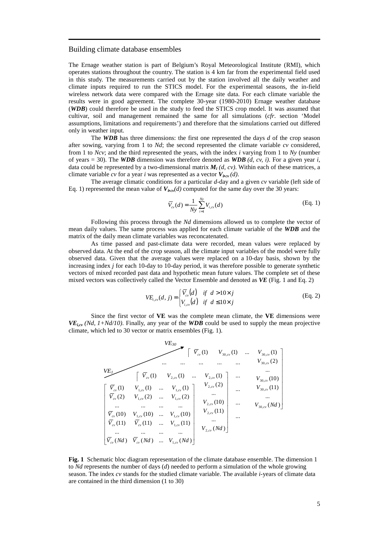#### Building climate database ensembles

The Ernage weather station is part of Belgium's Royal Meteorological Institute (RMI), which operates stations throughout the country. The station is 4 km far from the experimental field used in this study. The measurements carried out by the station involved all the daily weather and climate inputs required to run the STICS model. For the experimental seasons, the in-field wireless network data were compared with the Ernage site data. For each climate variable the results were in good agreement. The complete 30-year (1980-2010) Ernage weather database (*WDB*) could therefore be used in the study to feed the STICS crop model. It was assumed that cultivar, soil and management remained the same for all simulations (*cfr*. section 'Model assumptions, limitations and requirements') and therefore that the simulations carried out differed only in weather input.

 The *WDB* has three dimensions: the first one represented the days *d* of the crop season after sowing, varying from 1 to *Nd*; the second represented the climate variable *cv* considered, from 1 to *Ncv*; and the third represented the years, with the index *i* varying from 1 to *Ny* (number of years = 30). The *WDB* dimension was therefore denoted as *WDB (d, cv, i)*. For a given year *i*, data could be represented by a two-dimensional matrix  $M_i(d, cv)$ . Within each of these matrices, a climate variable *cv* for a year *i* was represented as a vector  $V_{\text{icev}}(d)$ .

 The average climatic conditions for a particular *d-*day and a given *cv* variable (left side of Eq. 1) represented the mean value of  $V_{\dot{v}cv}(d)$  computed for the same day over the 30 years:

$$
\overline{V}_{cv}(d) = \frac{1}{Ny} \sum_{i=1}^{Ny} V_{i,cv}(d)
$$
 (Eq. 1)

 Following this process through the *Nd* dimensions allowed us to complete the vector of mean daily values. The same process was applied for each climate variable of the *WDB* and the matrix of the daily mean climate variables was reconcatenated.

 As time passed and past-climate data were recorded, mean values were replaced by observed data. At the end of the crop season, all the climate input variables of the model were fully observed data. Given that the average values were replaced on a 10-day basis, shown by the increasing index *j* for each 10-day to 10-day period, it was therefore possible to generate synthetic vectors of mixed recorded past data and hypothetic mean future values. The complete set of these mixed vectors was collectively called the Vector Ensemble and denoted as *VE* (Fig. 1 and Eq. 2)

$$
VE_{i,cv}(d, j) = \begin{cases} \overline{V}_{cv}(d) & \text{if } d > 10 \times j \\ V_{i,cv}(d) & \text{if } d \le 10 \times j \end{cases}
$$
(Eq. 2)

 Since the first vector of **VE** was the complete mean climate, the **VE** dimensions were  $VE_{i,cy}$  (*Nd, 1+Nd/10)*. Finally, any year of the *WDB* could be used to supply the mean projective climate, which led to 30 vector or matrix ensembles (Fig. 1).

 ( ) ( ) ... ( ) ... ... ... ... 11( ) 11( ) ... 11( ) 10( ) 10( ) ... 10( ) ... ... ... ... )2( )2( ... )2( )1( )1( ... )1( 30, 30, 30, 30, 30, 30, 30, 30, *V Nd V Nd V Nd V V V V V V V V V V V V cv cv cv cv cv cv cv cv cv cv cv cv cv cv cv* ... ... ... ... ... ... ... ... ... *VE<sup>30</sup> VE<sup>1</sup>* ( ) ( ) ... ( ) ... ... ... ... 11( ) 11( ) ... 11( ) 10( ) 10( ) ... 10( ) ... ... ... ... )2( )2( ... )2( )1( )1( ... )1( ,2 ,2 ,2 ,2 ,2 ,2 ,2 ,2 *V Nd V Nd V Nd V V V V V V V V V V V V cv cv cv cv cv cv cv cv cv cv cv cv cv cv cv* ( ) ( ) ... ( ) ... ... ... ... 11( ) 11( ) ... 11( ) 10( ) 10( ) ... 10( ) ... ... ... ... )2( )2( ... )2( )1( )1( ... )1( ,1 ,1 ,1 ,1 ,1 ,1 ,1 ,1 *V Nd V Nd V Nd V V V V V V V V V V V V cv cv cv cv cv cv cv cv cv cv cv cv cv cv cv*

**Fig. 1** Schematic bloc diagram representation of the climate database ensemble. The dimension 1 to *Nd* represents the number of days (*d*) needed to perform a simulation of the whole growing season. The index *cv* stands for the studied climate variable. The available *i-*years of climate data are contained in the third dimension (1 to 30)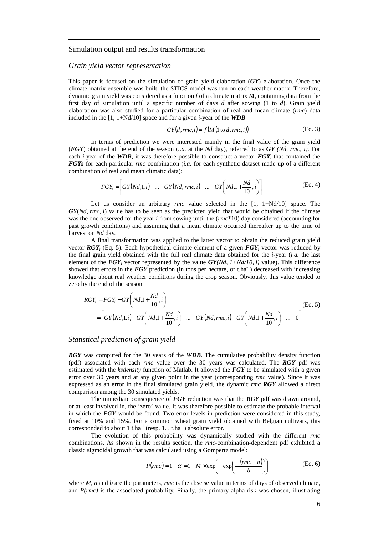#### Simulation output and results transformation

#### *Grain yield vector representation*

This paper is focused on the simulation of grain yield elaboration (*GY*) elaboration. Once the climate matrix ensemble was built, the STICS model was run on each weather matrix. Therefore, dynamic grain yield was considered as a function *f* of a climate matrix *M*, containing data from the first day of simulation until a specific number of days *d* after sowing (1 to *d*). Grain yield elaboration was also studied for a particular combination of real and mean climate (*rmc*) data included in the [1, 1+Nd/10] space and for a given *i-*year of the *WDB*

$$
GY(d, rmc, i) = f(M(1 \text{ to } d, rmc, i))
$$
 (Eq. 3)

 In terms of prediction we were interested mainly in the final value of the grain yield (*FGY*) obtained at the end of the season (*i.a.* at the *Nd* day), referred to as *GY (Nd, rmc, i)*. For each *i*-year of the *WDB*, it was therefore possible to construct a vector  $FGY_i$  that contained the *FGYs* for each particular *rmc* combination (*i.a.* for each synthetic dataset made up of a different combination of real and mean climatic data):

$$
FGY_i = \left[ GY(Nd,1,i) \quad \dots \quad GT(Nd, rmc, i) \quad \dots \quad GT\left( Nd, 1 + \frac{Nd}{10}, i \right) \right] \tag{Eq. 4}
$$

Let us consider an arbitrary *rmc* value selected in the [1, 1+Nd/10] space. The *GY*(*Nd, rmc, i*) value has to be seen as the predicted yield that would be obtained if the climate was the one observed for the year *i* from sowing until the (*rmc*\*10) day considered (accounting for past growth conditions) and assuming that a mean climate occurred thereafter up to the time of harvest on *Nd* day.

 A final transformation was applied to the latter vector to obtain the reduced grain yield vector *RGY<sup>i</sup>* (Eq. 5). Each hypothetical climate element of a given *FGY<sup>i</sup>* vector was reduced by the final grain yield obtained with the full real climate data obtained for the *i-*year (*i.a.* the last element of the  $FGY_i$  vector represented by the value  $GY(Nd, 1+Nd/10, i)$  value). This difference showed that errors in the *FGY* prediction (in tons per hectare, or t.ha<sup>-1</sup>) decreased with increasing knowledge about real weather conditions during the crop season. Obviously, this value tended to zero by the end of the season.

$$
RGY_i = FGY_i - GY\left(Nd, 1 + \frac{Nd}{10}, i\right)
$$
\n
$$
= \left[ GY\left(Nd, 1, i\right) - GY\left(Nd, 1 + \frac{Nd}{10}, i\right) \quad \dots \quad GT\left(Nd, rmc, i\right) - GY\left(Nd, 1 + \frac{Nd}{10}, i\right) \quad \dots \quad 0 \right]
$$
\n(Eq. 5)

#### *Statistical prediction of grain yield*

*RGY* was computed for the 30 years of the *WDB*. The cumulative probability density function (pdf) associated with each *rmc* value over the 30 years was calculated. The *RGY* pdf was estimated with the *ksdensity* function of Matlab. It allowed the *FGY* to be simulated with a given error over 30 years and at any given point in the year (corresponding *rmc* value). Since it was expressed as an error in the final simulated grain yield, the dynamic *rmc RGY* allowed a direct comparison among the 30 simulated yields.

 The immediate consequence of *FGY* reduction was that the *RGY* pdf was drawn around, or at least involved in, the 'zero'-value. It was therefore possible to estimate the probable interval in which the *FGY* would be found. Two error levels in prediction were considered in this study, fixed at 10% and 15%. For a common wheat grain yield obtained with Belgian cultivars, this corresponded to about 1 t.ha<sup>-1</sup> (resp.  $1.5$  t.ha<sup>-1</sup>) absolute error.

 The evolution of this probability was dynamically studied with the different *rmc* combinations. As shown in the results section, the *rmc-*combination-dependent pdf exhibited a classic sigmoidal growth that was calculated using a Gompertz model:

$$
P(rmc) = 1 - \alpha = 1 - M \times \exp\left(-\exp\left(\frac{-(rmc - a)}{b}\right)\right)
$$
 (Eq. 6)

where *M*, *a* and *b* are the parameters, *rmc* is the abscise value in terms of days of observed climate, and *P(rmc)* is the associated probability. Finally, the primary alpha-risk was chosen, illustrating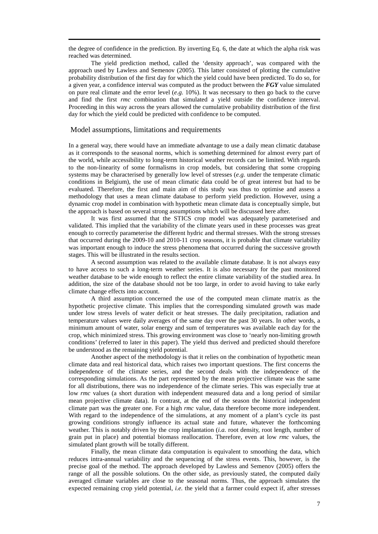the degree of confidence in the prediction. By inverting Eq. 6, the date at which the alpha risk was reached was determined.

 The yield prediction method, called the 'density approach', was compared with the approach used by Lawless and Semenov (2005). This latter consisted of plotting the cumulative probability distribution of the first day for which the yield could have been predicted. To do so, for a given year, a confidence interval was computed as the product between the *FGY* value simulated on pure real climate and the error level (*e.g.* 10%). It was necessary to then go back to the curve and find the first *rmc* combination that simulated a yield outside the confidence interval. Proceeding in this way across the years allowed the cumulative probability distribution of the first day for which the yield could be predicted with confidence to be computed.

#### Model assumptions, limitations and requirements

In a general way, there would have an immediate advantage to use a daily mean climatic database as it corresponds to the seasonal norms, which is something determined for almost every part of the world, while accessibility to long-term historical weather records can be limited. With regards to the non-linearity of some formalisms in crop models, but considering that some cropping systems may be characterised by generally low level of stresses (*e.g.* under the temperate climatic conditions in Belgium), the use of mean climatic data could be of great interest but had to be evaluated. Therefore, the first and main aim of this study was thus to optimise and assess a methodology that uses a mean climate database to perform yield prediction. However, using a dynamic crop model in combination with hypothetic mean climate data is conceptually simple, but the approach is based on several strong assumptions which will be discussed here after.

 It was first assumed that the STICS crop model was adequately parameterised and validated. This implied that the variability of the climate years used in these processes was great enough to correctly parameterise the different hydric and thermal stresses. With the strong stresses that occurred during the 2009-10 and 2010-11 crop seasons, it is probable that climate variability was important enough to induce the stress phenomena that occurred during the successive growth stages. This will be illustrated in the results section.

A second assumption was related to the available climate database. It is not always easy to have access to such a long-term weather series. It is also necessary for the past monitored weather database to be wide enough to reflect the entire climate variability of the studied area. In addition, the size of the database should not be too large, in order to avoid having to take early climate change effects into account.

 A third assumption concerned the use of the computed mean climate matrix as the hypothetic projective climate. This implies that the corresponding simulated growth was made under low stress levels of water deficit or heat stresses. The daily precipitation, radiation and temperature values were daily averages of the same day over the past 30 years. In other words, a minimum amount of water, solar energy and sum of temperatures was available each day for the crop, which minimized stress. This growing environment was close to 'nearly non-limiting growth conditions' (referred to later in this paper). The yield thus derived and predicted should therefore be understood as the remaining yield potential.

 Another aspect of the methodology is that it relies on the combination of hypothetic mean climate data and real historical data, which raises two important questions. The first concerns the independence of the climate series, and the second deals with the independence of the corresponding simulations. As the part represented by the mean projective climate was the same for all distributions, there was no independence of the climate series. This was especially true at low *rmc* values (a short duration with independent measured data and a long period of similar mean projective climate data). In contrast, at the end of the season the historical independent climate part was the greater one. For a high *rmc* value, data therefore become more independent. With regard to the independence of the simulations, at any moment of a plant's cycle its past growing conditions strongly influence its actual state and future, whatever the forthcoming weather. This is notably driven by the crop implantation (*i.a.* root density, root length, number of grain put in place) and potential biomass reallocation. Therefore, even at low *rmc* values, the simulated plant growth will be totally different.

 Finally, the mean climate data computation is equivalent to smoothing the data, which reduces intra-annual variability and the sequencing of the stress events. This, however, is the precise goal of the method. The approach developed by Lawless and Semenov (2005) offers the range of all the possible solutions. On the other side, as previously stated, the computed daily averaged climate variables are close to the seasonal norms. Thus, the approach simulates the expected remaining crop yield potential, *i.e.* the yield that a farmer could expect if, after stresses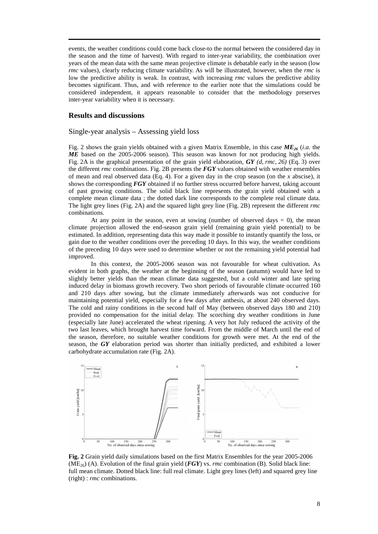events, the weather conditions could come back close-to the normal between the considered day in the season and the time of harvest). With regard to inter-year variability, the combination over years of the mean data with the same mean projective climate is debatable early in the season (low *rmc* values), clearly reducing climate variability. As will be illustrated, however, when the *rmc* is low the predictive ability is weak. In contrast, with increasing *rmc* values the predictive ability becomes significant. Thus, and with reference to the earlier note that the simulations could be considered independent, it appears reasonable to consider that the methodology preserves inter-year variability when it is necessary.

## **Results and discussions**

#### Single-year analysis – Assessing yield loss

Fig. 2 shows the grain yields obtained with a given Matrix Ensemble, in this case *ME26* (*i.a.* the *ME* based on the 2005-2006 season). This season was known for not producing high yields. Fig. 2A is the graphical presentation of the grain yield elaboration, *GY (d, rmc, 26)* (Eq. 3) over the different *rmc* combinations. Fig. 2B presents the *FGY* values obtained with weather ensembles of mean and real observed data (Eq. 4). For a given day in the crop season (on the *x* abscise), it shows the corresponding *FGY* obtained if no further stress occurred before harvest, taking account of past growing conditions. The solid black line represents the grain yield obtained with a complete mean climate data ; the dotted dark line corresponds to the complete real climate data. The light grey lines (Fig. 2A) and the squared light grey line (Fig. 2B) represent the different *rmc* combinations.

At any point in the season, even at sowing (number of observed days  $= 0$ ), the mean climate projection allowed the end-season grain yield (remaining grain yield potential) to be estimated. In addition, representing data this way made it possible to instantly quantify the loss, or gain due to the weather conditions over the preceding 10 days. In this way, the weather conditions of the preceding 10 days were used to determine whether or not the remaining yield potential had improved.

 In this context, the 2005-2006 season was not favourable for wheat cultivation. As evident in both graphs, the weather at the beginning of the season (autumn) would have led to slightly better yields than the mean climate data suggested, but a cold winter and late spring induced delay in biomass growth recovery. Two short periods of favourable climate occurred 160 and 210 days after sowing, but the climate immediately afterwards was not conducive for maintaining potential yield, especially for a few days after anthesis, at about 240 observed days. The cold and rainy conditions in the second half of May (between observed days 180 and 210) provided no compensation for the initial delay. The scorching dry weather conditions in June (especially late June) accelerated the wheat ripening. A very hot July reduced the activity of the two last leaves, which brought harvest time forward. From the middle of March until the end of the season, therefore, no suitable weather conditions for growth were met. At the end of the season, the *GY* elaboration period was shorter than initially predicted, and exhibited a lower carbohydrate accumulation rate (Fig. 2A).



**Fig. 2** Grain yield daily simulations based on the first Matrix Ensembles for the year 2005-2006 (ME26) (A). Evolution of the final grain yield (*FGY*) vs. *rmc* combination (B). Solid black line: full mean climate. Dotted black line: full real climate. Light grey lines (left) and squared grey line (right) : *rmc* combinations.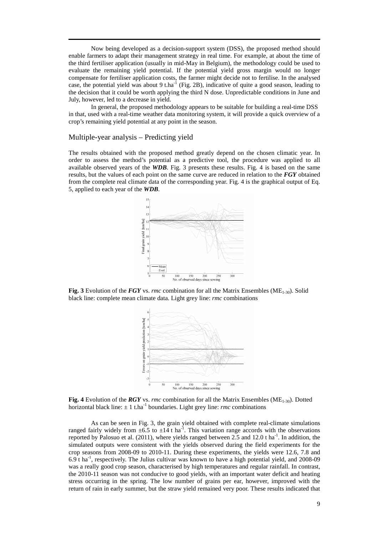Now being developed as a decision-support system (DSS), the proposed method should enable farmers to adapt their management strategy in real time. For example, at about the time of the third fertiliser application (usually in mid-May in Belgium), the methodology could be used to evaluate the remaining yield potential. If the potential yield gross margin would no longer compensate for fertiliser application costs, the farmer might decide not to fertilise. In the analysed case, the potential yield was about 9 t.ha<sup>-1</sup> (Fig. 2B), indicative of quite a good season, leading to the decision that it could be worth applying the third N dose. Unpredictable conditions in June and July, however, led to a decrease in yield.

 In general, the proposed methodology appears to be suitable for building a real-time DSS in that, used with a real-time weather data monitoring system, it will provide a quick overview of a crop's remaining yield potential at any point in the season.

#### Multiple-year analysis – Predicting yield

The results obtained with the proposed method greatly depend on the chosen climatic year. In order to assess the method's potential as a predictive tool, the procedure was applied to all available observed years of the *WDB*. Fig. 3 presents these results. Fig. 4 is based on the same results, but the values of each point on the same curve are reduced in relation to the *FGY* obtained from the complete real climate data of the corresponding year. Fig. 4 is the graphical output of Eq. 5, applied to each year of the *WDB*.



**Fig. 3** Evolution of the *FGY* vs. *rmc* combination for all the Matrix Ensembles (ME1-30). Solid black line: complete mean climate data. Light grey line: *rmc* combinations



**Fig. 4** Evolution of the *RGY* vs. *rmc* combination for all the Matrix Ensembles (ME<sub>1-30</sub>). Dotted horizontal black line:  $\pm 1$  t.ha<sup>-1</sup> boundaries. Light grey line: *rmc* combinations

 As can be seen in Fig. 3, the grain yield obtained with complete real-climate simulations ranged fairly widely from  $\pm 6.5$  to  $\pm 14$  t ha<sup>-1</sup>. This variation range accords with the observations reported by Palosuo et al. (2011), where yields ranged between 2.5 and 12.0 t ha<sup>-1</sup>. In addition, the simulated outputs were consistent with the yields observed during the field experiments for the crop seasons from 2008-09 to 2010-11. During these experiments, the yields were 12.6, 7.8 and 6.9 t ha-1, respectively. The Julius cultivar was known to have a high potential yield, and 2008-09 was a really good crop season, characterised by high temperatures and regular rainfall. In contrast, the 2010-11 season was not conducive to good yields, with an important water deficit and heating stress occurring in the spring. The low number of grains per ear, however, improved with the return of rain in early summer, but the straw yield remained very poor. These results indicated that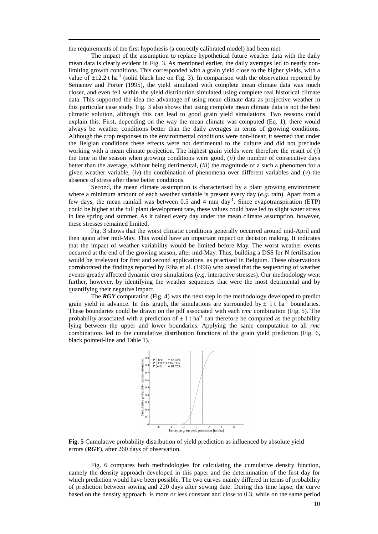the requirements of the first hypothesis (a correctly calibrated model) had been met.

 The impact of the assumption to replace hypothetical future weather data with the daily mean data is clearly evident in Fig. 3. As mentioned earlier, the daily averages led to nearly nonlimiting growth conditions. This corresponded with a grain yield close to the higher yields, with a value of  $\pm$ 12.2 t ha<sup>-1</sup> (solid black line on Fig. 3). In comparison with the observation reported by Semenov and Porter (1995), the yield simulated with complete mean climate data was much closer, and even fell within the yield distribution simulated using complete real historical climate data. This supported the idea the advantage of using mean climate data as projective weather in this particular case study. Fig. 3 also shows that using complete mean climate data is not the best climatic solution, although this can lead to good grain yield simulations. Two reasons could explain this. First, depending on the way the mean climate was computed (Eq. 1), there would always be weather conditions better than the daily averages in terms of growing conditions. Although the crop responses to the environmental conditions were non-linear, it seemed that under the Belgian conditions these effects were not detrimental to the culture and did not preclude working with a mean climate projection. The highest grain yields were therefore the result of (*i*) the time in the season when growing conditions were good, (*ii*) the number of consecutive days better than the average, without being detrimental, (*iii*) the magnitude of a such a phenomen for a given weather variable, (*iv*) the combination of phenomena over different variables and (*v*) the absence of stress after these better conditions.

 Second, the mean climate assumption is characterised by a plant growing environment where a minimum amount of each weather variable is present every day (*e.g.* rain). Apart from a few days, the mean rainfall was between 0.5 and 4 mm day<sup>-1</sup>. Since evapotranspiration (ETP) could be higher at the full plant development rate, these values could have led to slight water stress in late spring and summer. As it rained every day under the mean climate assumption, however, these stresses remained limited.

 Fig. 3 shows that the worst climatic conditions generally occurred around mid-April and then again after mid-May. This would have an important impact on decision making. It indicates that the impact of weather variability would be limited before May. The worst weather events occurred at the end of the growing season, after mid-May. Thus, building a DSS for N fertilisation would be irrelevant for first and second applications, as practised in Belgium. These observations corroborated the findings reported by Riha et al. (1996) who stated that the sequencing of weather events greatly affected dynamic crop simulations (*e.g.* interactive stresses). Our methodology went further, however, by identifying the weather sequences that were the most detrimental and by quantifying their negative impact.

 The *RGY* computation (Fig. 4) was the next step in the methodology developed to predict grain yield in advance. In this graph, the simulations are surrounded by  $\pm$  1 t ha<sup>-1</sup> boundaries. These boundaries could be drawn on the pdf associated with each *rmc* combination (Fig. 5). The probability associated with a prediction of  $\pm 1$  t ha<sup>-1</sup> can therefore be computed as the probability lying between the upper and lower boundaries. Applying the same computation to all *rmc* combinations led to the cumulative distribution functions of the grain yield prediction (Fig. 6, black pointed-line and Table 1).



**Fig. 5** Cumulative probability distribution of yield prediction as influenced by absolute yield errors (*RGY*), after 260 days of observation.

 Fig. 6 compares both methodologies for calculating the cumulative density function, namely the density approach developed in this paper and the determination of the first day for which prediction would have been possible. The two curves mainly differed in terms of probability of prediction between sowing and 220 days after sowing date. During this time lapse, the curve based on the density approach is more or less constant and close to 0.3, while on the same period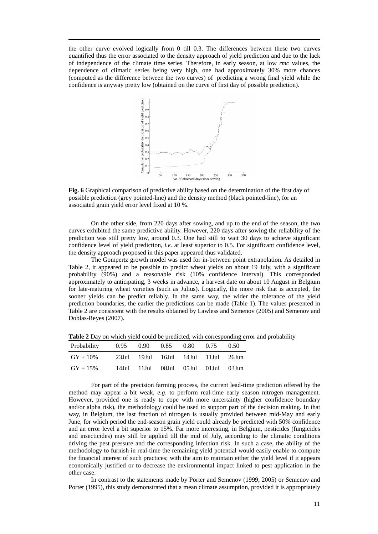the other curve evolved logically from 0 till 0.3. The differences between these two curves quantified thus the error associated to the density approach of yield prediction and due to the lack of independence of the climate time series. Therefore, in early season, at low *rmc* values, the dependence of climatic series being very high, one had approximately 30% more chances (computed as the difference between the two curves) of predicting a wrong final yield while the confidence is anyway pretty low (obtained on the curve of first day of possible prediction).



**Fig. 6** Graphical comparison of predictive ability based on the determination of the first day of possible prediction (grey pointed-line) and the density method (black pointed-line), for an associated grain yield error level fixed at 10 %.

 On the other side, from 220 days after sowing, and up to the end of the season, the two curves exhibited the same predictive ability. However, 220 days after sowing the reliability of the prediction was still pretty low, around 0.3. One had still to wait 30 days to achieve significant confidence level of yield prediction, *i.e.* at least superior to 0.5. For significant confidence level, the density approach proposed in this paper appeared thus validated.

 The Gompertz growth model was used for in-between point extrapolation. As detailed in Table 2, it appeared to be possible to predict wheat yields on about 19 July, with a significant probability (90%) and a reasonable risk (10% confidence interval). This corresponded approximately to anticipating, 3 weeks in advance, a harvest date on about 10 August in Belgium for late-maturing wheat varieties (such as Julius). Logically, the more risk that is accepted, the sooner yields can be predict reliably. In the same way, the wider the tolerance of the yield prediction boundaries, the earlier the predictions can be made (Table 1). The values presented in Table 2 are consistent with the results obtained by Lawless and Semenov (2005) and Semenov and Doblas-Reyes (2007).

| Probability   |  | $0.95$ $0.90$ $0.85$          | 0.80 | 0.75                                | (0.50) |
|---------------|--|-------------------------------|------|-------------------------------------|--------|
| $GY \pm 10\%$ |  |                               |      | 23Jul 19Jul 16Jul 14Jul 11Jul 26Jun |        |
| $GY \pm 15\%$ |  | 14Jul 11Jul 08Jul 05Jul 01Jul |      |                                     | 03.Jun |

**Table 2** Day on which yield could be predicted, with corresponding error and probability

 For part of the precision farming process, the current lead-time prediction offered by the method may appear a bit weak, *e.g*. to perform real-time early season nitrogen management. However, provided one is ready to cope with more uncertainty (higher confidence boundary and/or alpha risk), the methodology could be used to support part of the decision making. In that way, in Belgium, the last fraction of nitrogen is usually provided between mid-May and early June, for which period the end-season grain yield could already be predicted with 50% confidence and an error level a bit superior to 15%. Far more interesting, in Belgium, pesticides (fungicides and insecticides) may still be applied till the mid of July, according to the climatic conditions driving the pest pressure and the corresponding infection risk. In such a case, the ability of the methodology to furnish in real-time the remaining yield potential would easily enable to compute the financial interest of such practices; with the aim to maintain either the yield level if it appears economically justified or to decrease the environmental impact linked to pest application in the other case.

 In contrast to the statements made by Porter and Semenov (1999, 2005) or Semenov and Porter (1995), this study demonstrated that a mean climate assumption, provided it is appropriately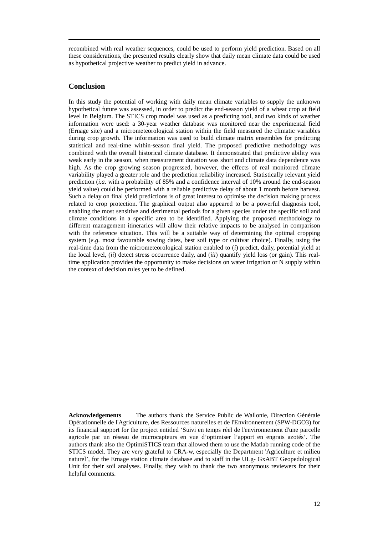recombined with real weather sequences, could be used to perform yield prediction. Based on all these considerations, the presented results clearly show that daily mean climate data could be used as hypothetical projective weather to predict yield in advance.

# **Conclusion**

In this study the potential of working with daily mean climate variables to supply the unknown hypothetical future was assessed, in order to predict the end-season yield of a wheat crop at field level in Belgium. The STICS crop model was used as a predicting tool, and two kinds of weather information were used: a 30-year weather database was monitored near the experimental field (Ernage site) and a micrometeorological station within the field measured the climatic variables during crop growth. The information was used to build climate matrix ensembles for predicting statistical and real-time within-season final yield. The proposed predictive methodology was combined with the overall historical climate database. It demonstrated that predictive ability was weak early in the season, when measurement duration was short and climate data dependence was high. As the crop growing season progressed, however, the effects of real monitored climate variability played a greater role and the prediction reliability increased. Statistically relevant yield prediction (*i.a.* with a probability of 85% and a confidence interval of 10% around the end-season yield value) could be performed with a reliable predictive delay of about 1 month before harvest. Such a delay on final yield predictions is of great interest to optimise the decision making process related to crop protection. The graphical output also appeared to be a powerful diagnosis tool, enabling the most sensitive and detrimental periods for a given species under the specific soil and climate conditions in a specific area to be identified. Applying the proposed methodology to different management itineraries will allow their relative impacts to be analysed in comparison with the reference situation. This will be a suitable way of determining the optimal cropping system (*e.g.* most favourable sowing dates, best soil type or cultivar choice). Finally, using the real-time data from the micrometeorological station enabled to (*i*) predict, daily, potential yield at the local level, (*ii*) detect stress occurrence daily, and (*iii*) quantify yield loss (or gain). This realtime application provides the opportunity to make decisions on water irrigation or N supply within the context of decision rules yet to be defined.

**Acknowledgements** The authors thank the Service Public de Wallonie, Direction Générale Opérationnelle de l'Agriculture, des Ressources naturelles et de l'Environnement (SPW-DGO3) for its financial support for the project entitled 'Suivi en temps réel de l'environnement d'une parcelle agricole par un réseau de microcapteurs en vue d'optimiser l'apport en engrais azotés'. The authors thank also the OptimiSTICS team that allowed them to use the Matlab running code of the STICS model. They are very grateful to CRA-w, especially the Department 'Agriculture et milieu naturel', for the Ernage station climate database and to staff in the ULg- GxABT Geopedological Unit for their soil analyses. Finally, they wish to thank the two anonymous reviewers for their helpful comments.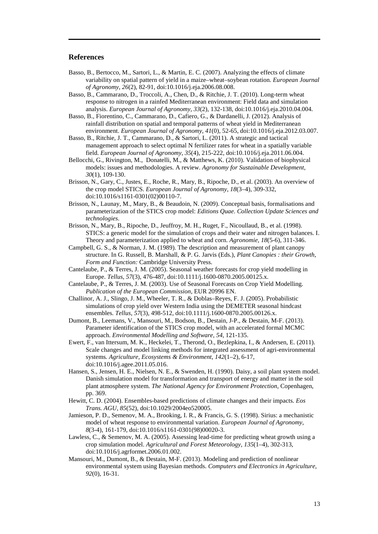## **References**

- Basso, B., Bertocco, M., Sartori, L., & Martin, E. C. (2007). Analyzing the effects of climate variability on spatial pattern of yield in a maize–wheat–soybean rotation. *European Journal of Agronomy*, *26*(2), 82-91, doi:10.1016/j.eja.2006.08.008.
- Basso, B., Cammarano, D., Troccoli, A., Chen, D., & Ritchie, J. T. (2010). Long-term wheat response to nitrogen in a rainfed Mediterranean environment: Field data and simulation analysis. *European Journal of Agronomy*, *33*(2), 132-138, doi:10.1016/j.eja.2010.04.004.
- Basso, B., Fiorentino, C., Cammarano, D., Cafiero, G., & Dardanelli, J. (2012). Analysis of rainfall distribution on spatial and temporal patterns of wheat yield in Mediterranean environment. *European Journal of Agronomy, 41*(0), 52-65, doi:10.1016/j.eja.2012.03.007.
- Basso, B., Ritchie, J. T., Cammarano, D., & Sartori, L. (2011). A strategic and tactical management approach to select optimal N fertilizer rates for wheat in a spatially variable field. *European Journal of Agronomy*, *35*(4), 215-222, doi:10.1016/j.eja.2011.06.004.
- Bellocchi, G., Rivington, M., Donatelli, M., & Matthews, K. (2010). Validation of biophysical models: issues and methodologies. A review. *Agronomy for Sustainable Development*, *30*(1), 109-130.
- Brisson, N., Gary, C., Justes, E., Roche, R., Mary, B., Ripoche, D., et al. (2003). An overview of the crop model STICS. *European Journal of Agronomy*, *18*(3–4), 309-332, doi:10.1016/s1161-0301(02)00110-7.
- Brisson, N., Launay, M., Mary, B., & Beaudoin, N. (2009). Conceptual basis, formalisations and parameterization of the STICS crop model: *Editions Quae. Collection Update Sciences and technologies*.
- Brisson, N., Mary, B., Ripoche, D., Jeuffroy, M. H., Ruget, F., Nicoullaud, B., et al. (1998). STICS: a generic model for the simulation of crops and their water and nitrogen balances. I. Theory and parameterization applied to wheat and corn. *Agronomie*, *18*(5-6), 311-346.
- Campbell, G. S., & Norman, J. M. (1989). The description and measurement of plant canopy structure. In G. Russell, B. Marshall, & P. G. Jarvis (Eds.), *Plant Canopies : their Growth, Form and Function:* Cambridge University Press.
- Cantelaube, P., & Terres, J. M. (2005). Seasonal weather forecasts for crop yield modelling in Europe. *Tellus*, *57*(3), 476-487, doi:10.1111/j.1600-0870.2005.00125.x.
- Cantelaube, P., & Terres, J. M. (2003). Use of Seasonal Forecasts on Crop Yield Modelling. *Publication of the European Commission*, EUR 20996 EN.
- Challinor, A. J., Slingo, J. M., Wheeler, T. R., & Doblas–Reyes, F. J. (2005). Probabilistic simulations of crop yield over Western India using the DEMETER seasonal hindcast ensembles. *Tellus*, *57*(3), 498-512, doi:10.1111/j.1600-0870.2005.00126.x.
- Dumont, B., Leemans, V., Mansouri, M., Bodson, B., Destain, J-P., & Destain, M-F. (2013). Parameter identification of the STICS crop model, with an accelerated formal MCMC approach. *Environmental Modelling and Software, 54*, 121-135.
- Ewert, F., van Ittersum, M. K., Heckelei, T., Therond, O., Bezlepkina, I., & Andersen, E. (2011). Scale changes and model linking methods for integrated assessment of agri-environmental systems*. Agriculture, Ecosystems & Environment*, *142*(1–2), 6-17, doi:10.1016/j.agee.2011.05.016.
- Hansen, S., Jensen, H. E., Nielsen, N. E., & Swenden, H. (1990). Daisy, a soil plant system model. Danish simulation model for transformation and transport of energy and matter in the soil plant atmosphere system. *The National Agency for Environment Protection*, Copenhagen, pp. 369.
- Hewitt, C. D. (2004). Ensembles-based predictions of climate changes and their impacts. *Eos Trans. AGU*, *85*(52), doi:10.1029/2004eo520005.
- Jamieson, P. D., Semenov, M. A., Brooking, I. R., & Francis, G. S. (1998). Sirius: a mechanistic model of wheat response to environmental variation. *European Journal of Agronomy*, *8*(3-4), 161-179, doi:10.1016/s1161-0301(98)00020-3.
- Lawless, C., & Semenov, M. A. (2005). Assessing lead-time for predicting wheat growth using a crop simulation model. *Agricultural and Forest Meteorology*, *135*(1–4), 302-313, doi:10.1016/j.agrformet.2006.01.002.
- Mansouri, M., Dumont, B., & Destain, M-F. (2013). Modeling and prediction of nonlinear environmental system using Bayesian methods. *Computers and Electronics in Agriculture, 92*(0), 16-31.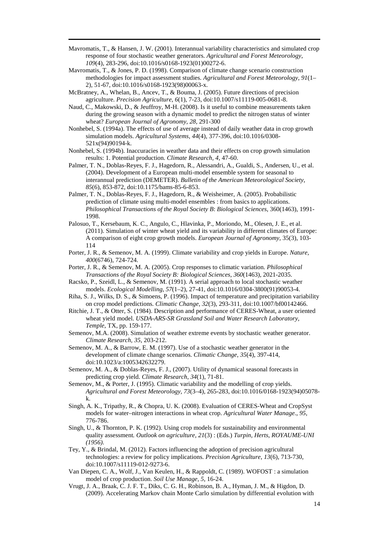- Mavromatis, T., & Hansen, J. W. (2001). Interannual variability characteristics and simulated crop response of four stochastic weather generators. *Agricultural and Forest Meteorology*, *109*(4), 283-296, doi:10.1016/s0168-1923(01)00272-6.
- Mavromatis, T., & Jones, P. D. (1998). Comparison of climate change scenario construction methodologies for impact assessment studies. *Agricultural and Forest Meteorology*, *91*(1– 2), 51-67, doi:10.1016/s0168-1923(98)00063-x.
- McBratney, A., Whelan, B., Ancev, T., & Bouma, J. (2005). Future directions of precision agriculture. *Precision Agriculture*, *6*(1), 7-23, doi:10.1007/s11119-005-0681-8.
- Naud, C., Makowski, D., & Jeuffroy, M-H. (2008). Is it useful to combine measurements taken during the growing season with a dynamic model to predict the nitrogen status of winter wheat? *European Journal of Agronomy*, *28*, 291-300
- Nonhebel, S. (1994a). The effects of use of average instead of daily weather data in crop growth simulation models. *Agricultural Systems*, *44*(4), 377-396, doi:10.1016/0308- 521x(94)90194-k.
- Nonhebel, S. (1994b). Inaccuracies in weather data and their effects on crop growth simulation results: 1. Potential production. *Climate Research, 4*, 47-60.
- Palmer, T. N., Doblas-Reyes, F. J., Hagedorn, R., Alessandri, A., Gualdi, S., Andersen, U., et al. (2004). Development of a European multi-model ensemble system for seasonal to interannual prediction (DEMETER). *Bulletin of the American Meteorological Society*, *85*(6), 853-872, doi:10.1175/bams-85-6-853.
- Palmer, T. N., Doblas-Reyes, F. J., Hagedorn, R., & Weisheimer, A. (2005). Probabilistic prediction of climate using multi-model ensembles : from basics to applications. *Philosophical Transactions of the Royal Society B*: *Biological Sciences*, 360(1463), 1991- 1998.
- Palosuo, T., Kersebaum, K. C., Angulo, C., Hlavinka, P., Moriondo, M., Olesen, J. E., et al. (2011). Simulation of winter wheat yield and its variability in different climates of Europe: A comparison of eight crop growth models. *European Journal of Agronomy*, 35(3), 103- 114
- Porter, J. R., & Semenov, M. A. (1999). Climate variability and crop yields in Europe. *Nature, 400*(6746), 724-724.
- Porter, J. R., & Semenov, M. A. (2005). Crop responses to climatic variation. *Philosophical Transactions of the Royal Society B: Biological Sciences, 360*(1463), 2021-2035.
- Racsko, P., Szeidl, L., & Semenov, M. (1991). A serial approach to local stochastic weather models. *Ecological Modelling*, *57*(1–2), 27-41, doi:10.1016/0304-3800(91)90053-4.
- Riha, S. J., Wilks, D. S., & Simoens, P. (1996). Impact of temperature and precipitation variability on crop model predictions. *Climatic Change*, *32*(3), 293-311, doi:10.1007/bf00142466.
- Ritchie, J. T., & Otter, S. (1984). Description and performance of CERES-Wheat, a user oriented wheat yield model. *USDA-ARS-SR Grassland Soil and Water Research Laboratory, Temple*, TX, pp. 159-177.
- Semenov, M.A. (2008). Simulation of weather extreme events by stochastic weather generator. *Climate Research, 35*, 203-212.
- Semenov, M. A., & Barrow, E. M. (1997). Use of a stochastic weather generator in the development of climate change scenarios. *Climatic Change*, *35*(4), 397-414, doi:10.1023/a:1005342632279.
- Semenov, M. A., & Doblas-Reyes, F. J., (2007). Utility of dynamical seasonal forecasts in predicting crop yield. *Climate Research*, *34*(1), 71-81.
- Semenov, M., & Porter, J. (1995). Climatic variability and the modelling of crop yields. *Agricultural and Forest Meteorology, 73*(3–4), 265-283, doi:10.1016/0168-1923(94)05078 k.
- Singh, A. K., Tripathy, R., & Chopra, U. K. (2008). Evaluation of CERES-Wheat and CropSyst models for water–nitrogen interactions in wheat crop. *Agricultural Water Manage*., *95*, 776-786.
- Singh, U., & Thornton, P. K. (1992). Using crop models for sustainability and environmental quality assessment*. Outlook on agriculture, 21*(3) : (Eds.) *Turpin, Herts, ROYAUME-UNI (1956)*.
- Tey, Y., & Brindal, M. (2012). Factors influencing the adoption of precision agricultural technologies: a review for policy implications. *Precision Agriculture*, *13*(6), 713-730, doi:10.1007/s11119-012-9273-6.
- Van Diepen, C. A., Wolf, J., Van Keulen, H., & Rappoldt, C. (1989). WOFOST : a simulation model of crop production. *Soil Use Manage, 5*, 16-24.
- Vrugt, J. A., Braak, C. J. F. T., Diks, C. G. H., Robinson, B. A., Hyman, J. M., & Higdon, D. (2009). Accelerating Markov chain Monte Carlo simulation by differential evolution with